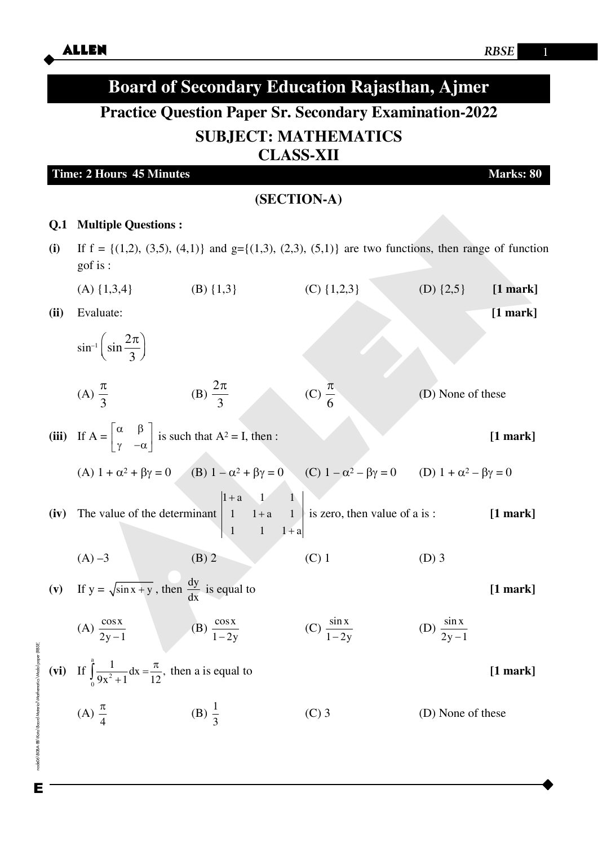|                                                               | <b>Board of Secondary Education Rajasthan, Ajmer</b>                                                            |                                              |                                                                                                                                                         |                           |            |  |  |  |  |  |
|---------------------------------------------------------------|-----------------------------------------------------------------------------------------------------------------|----------------------------------------------|---------------------------------------------------------------------------------------------------------------------------------------------------------|---------------------------|------------|--|--|--|--|--|
| <b>Practice Question Paper Sr. Secondary Examination-2022</b> |                                                                                                                 |                                              |                                                                                                                                                         |                           |            |  |  |  |  |  |
| <b>SUBJECT: MATHEMATICS</b><br><b>CLASS-XII</b><br>Marks: 80  |                                                                                                                 |                                              |                                                                                                                                                         |                           |            |  |  |  |  |  |
|                                                               |                                                                                                                 |                                              |                                                                                                                                                         |                           |            |  |  |  |  |  |
|                                                               |                                                                                                                 |                                              |                                                                                                                                                         |                           |            |  |  |  |  |  |
| Q <sub>1</sub>                                                | <b>Multiple Questions:</b>                                                                                      |                                              |                                                                                                                                                         |                           |            |  |  |  |  |  |
| (i)                                                           | gof is :                                                                                                        |                                              | If $f = \{(1,2), (3,5), (4,1)\}\$ and $g = \{(1,3), (2,3), (5,1)\}\$ are two functions, then range of function                                          |                           |            |  |  |  |  |  |
|                                                               | $(A) \{1,3,4\}$                                                                                                 | (B) $\{1,3\}$                                | (C) $\{1,2,3\}$                                                                                                                                         | (D) $\{2,5\}$             | $[1$ mark] |  |  |  |  |  |
| (ii)                                                          | Evaluate:                                                                                                       |                                              |                                                                                                                                                         |                           | $[1$ mark] |  |  |  |  |  |
|                                                               | $\sin^{-1}\left(\sin\frac{2\pi}{3}\right)$                                                                      |                                              |                                                                                                                                                         |                           |            |  |  |  |  |  |
|                                                               | (A) $\frac{\pi}{2}$                                                                                             | (B) $\frac{2\pi}{3}$                         | (C) $\frac{\pi}{6}$                                                                                                                                     | (D) None of these         |            |  |  |  |  |  |
|                                                               | (iii) If $A = \begin{bmatrix} \alpha & \beta \\ \gamma & -\alpha \end{bmatrix}$ is such that $A^2 = I$ , then : |                                              |                                                                                                                                                         |                           | $[1$ mark] |  |  |  |  |  |
|                                                               |                                                                                                                 |                                              | (A) $1 + \alpha^2 + \beta \gamma = 0$ (B) $1 - \alpha^2 + \beta \gamma = 0$ (C) $1 - \alpha^2 - \beta \gamma = 0$ (D) $1 + \alpha^2 - \beta \gamma = 0$ |                           |            |  |  |  |  |  |
|                                                               |                                                                                                                 | $1+a$ 1 1<br>$1 \quad 1+a$<br>$\overline{1}$ | (iv) The value of the determinant $\begin{vmatrix} 1 & 1+a & 1 \end{vmatrix}$ is zero, then value of a is:                                              |                           | $[1$ mark] |  |  |  |  |  |
|                                                               | $(A) -3$                                                                                                        | $(B)$ 2                                      | $(C)$ 1                                                                                                                                                 | $(D)$ 3                   |            |  |  |  |  |  |
|                                                               | (v) If $y = \sqrt{\sin x + y}$ , then $\frac{dy}{dx}$ is equal to                                               |                                              |                                                                                                                                                         |                           | $[1$ mark] |  |  |  |  |  |
|                                                               | (A) $\frac{\cos x}{2y-1}$ (B) $\frac{\cos x}{1-2y}$                                                             |                                              | (C) $\frac{\sin x}{1-2y}$                                                                                                                               | (D) $\frac{\sin x}{2y-1}$ |            |  |  |  |  |  |
|                                                               | (vi) If $\int_{0}^{a} \frac{1}{9x^2 + 1} dx = \frac{\pi}{12}$ , then a is equal to                              |                                              |                                                                                                                                                         |                           | $[1$ mark] |  |  |  |  |  |
|                                                               | (A) $\frac{\pi}{4}$                                                                                             | (B) $\frac{1}{3}$                            | $(C)$ 3                                                                                                                                                 | (D) None of these         |            |  |  |  |  |  |

node06\B0BA-BB\Kota\Board Material Wathematics Wodal paper (RBSE)

E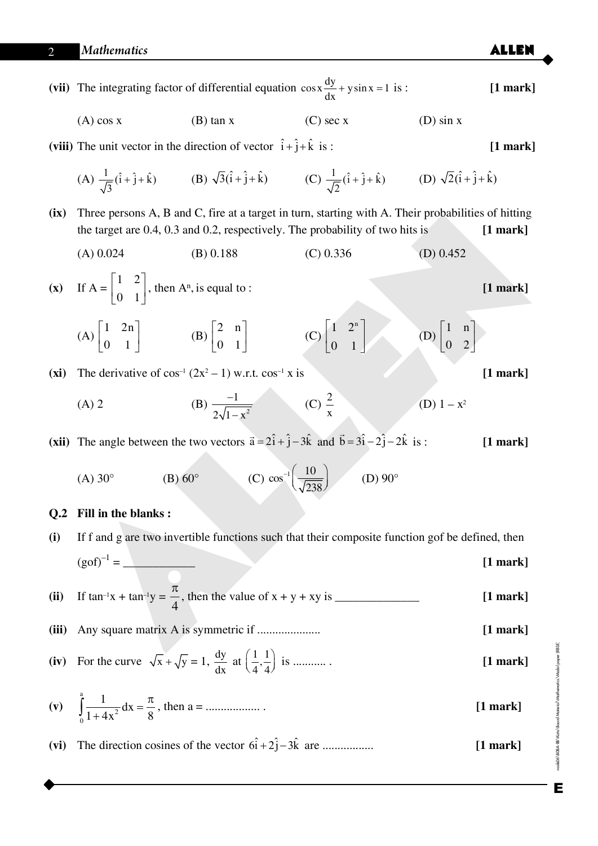|                |                                                                                                                                                                                                    | (vii) The integrating factor of differential equation $\cos x \frac{dy}{dx} + y \sin x = 1$ is :                                                                                    |                                                           |                                                    | $[1$ mark] |  |  |  |
|----------------|----------------------------------------------------------------------------------------------------------------------------------------------------------------------------------------------------|-------------------------------------------------------------------------------------------------------------------------------------------------------------------------------------|-----------------------------------------------------------|----------------------------------------------------|------------|--|--|--|
|                | $(A)$ cos x                                                                                                                                                                                        | $(B)$ tan x                                                                                                                                                                         | $(C)$ sec x                                               | $(D)$ sin x                                        |            |  |  |  |
|                | (viii) The unit vector in the direction of vector $\hat{i} + \hat{j} + \hat{k}$ is:<br>$[1$ mark]                                                                                                  |                                                                                                                                                                                     |                                                           |                                                    |            |  |  |  |
|                |                                                                                                                                                                                                    | (A) $\frac{1}{\sqrt{3}}(\hat{i}+\hat{j}+\hat{k})$ (B) $\sqrt{3}(\hat{i}+\hat{j}+\hat{k})$ (C) $\frac{1}{\sqrt{2}}(\hat{i}+\hat{j}+\hat{k})$ (D) $\sqrt{2}(\hat{i}+\hat{j}+\hat{k})$ |                                                           |                                                    |            |  |  |  |
| (ix)           | Three persons A, B and C, fire at a target in turn, starting with A. Their probabilities of hitting<br>the target are 0.4, 0.3 and 0.2, respectively. The probability of two hits is<br>$[1$ mark] |                                                                                                                                                                                     |                                                           |                                                    |            |  |  |  |
|                | $(A)$ 0.024                                                                                                                                                                                        | (B) 0.188                                                                                                                                                                           | $(C)$ 0.336                                               | (D) $0.452$                                        |            |  |  |  |
|                | (x) If $A = \begin{bmatrix} 1 & 2 \\ 0 & 1 \end{bmatrix}$ , then $A^n$ , is equal to :                                                                                                             |                                                                                                                                                                                     |                                                           |                                                    |            |  |  |  |
|                | (A) $\begin{bmatrix} 1 & 2n \\ 0 & 1 \end{bmatrix}$ (B) $\begin{bmatrix} 2 & n \\ 0 & 1 \end{bmatrix}$                                                                                             |                                                                                                                                                                                     | $(C)\begin{bmatrix} 1 & 2^n \\ 0 & 1 \end{bmatrix}$       | (D) $\begin{vmatrix} 1 & n \\ 0 & 2 \end{vmatrix}$ |            |  |  |  |
| (xi)           | The derivative of $cos^{-1}(2x^2 - 1)$ w.r.t. $cos^{-1} x$ is                                                                                                                                      |                                                                                                                                                                                     |                                                           |                                                    |            |  |  |  |
|                | $(A)$ 2                                                                                                                                                                                            | (B) $\frac{-1}{2\sqrt{1-x^2}}$ (C) $\frac{2}{x}$                                                                                                                                    |                                                           | (D) $1 - x^2$                                      |            |  |  |  |
|                | (xii) The angle between the two vectors $\vec{a} = 2\hat{i} + \hat{j} - 3\hat{k}$ and $\vec{b} = 3\hat{i} - 2\hat{j} - 2\hat{k}$ is:                                                               |                                                                                                                                                                                     |                                                           |                                                    |            |  |  |  |
|                | $(B)$ 60 $^{\circ}$<br>$(A)$ 30 $^{\circ}$                                                                                                                                                         |                                                                                                                                                                                     | (C) $\cos^{-1}\left(\frac{10}{\sqrt{238}}\right)$ (D) 90° |                                                    |            |  |  |  |
| Q <sub>2</sub> | Fill in the blanks:                                                                                                                                                                                |                                                                                                                                                                                     |                                                           |                                                    |            |  |  |  |
| (i)            | If f and g are two invertible functions such that their composite function gof be defined, then                                                                                                    |                                                                                                                                                                                     |                                                           |                                                    |            |  |  |  |
|                | $[1$ mark]                                                                                                                                                                                         |                                                                                                                                                                                     |                                                           |                                                    |            |  |  |  |
| (ii)           | $[1$ mark]                                                                                                                                                                                         |                                                                                                                                                                                     |                                                           |                                                    |            |  |  |  |
| (iii)          |                                                                                                                                                                                                    |                                                                                                                                                                                     |                                                           |                                                    |            |  |  |  |
| (iv)           | For the curve $\sqrt{x} + \sqrt{y} = 1$ , $\frac{dy}{dx}$ at $\left(\frac{1}{4}, \frac{1}{4}\right)$ is<br>$[1$ mark]                                                                              |                                                                                                                                                                                     |                                                           |                                                    |            |  |  |  |
|                | (v) $\int_{0}^{1} \frac{1}{1+4x^2} dx = \frac{\pi}{8}$ , then a =                                                                                                                                  |                                                                                                                                                                                     |                                                           |                                                    |            |  |  |  |
| (vi)           |                                                                                                                                                                                                    | The direction cosines of the vector $6\hat{i} + 2\hat{j} - 3\hat{k}$ are                                                                                                            |                                                           |                                                    | $[1$ mark] |  |  |  |
|                |                                                                                                                                                                                                    |                                                                                                                                                                                     |                                                           |                                                    |            |  |  |  |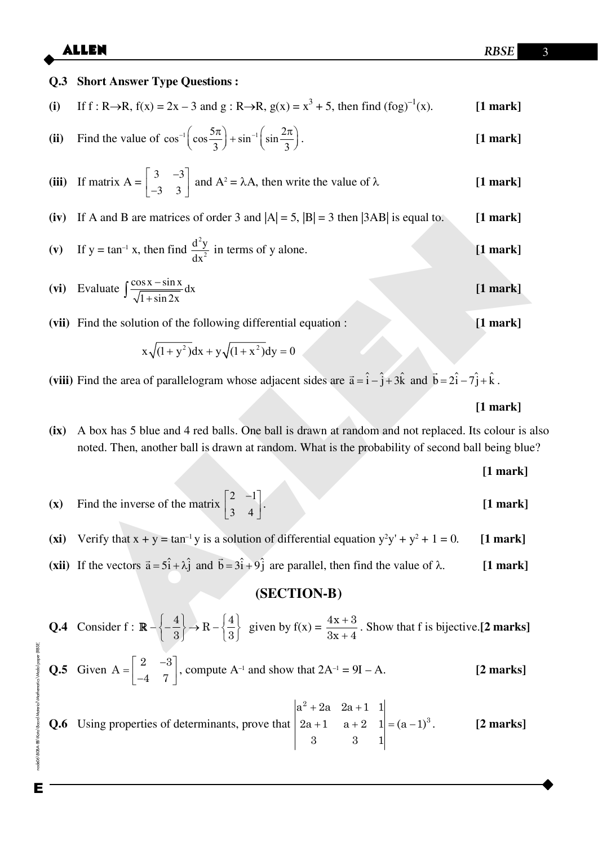# **Q.3** Short Answer Type Questions :

(i) If 
$$
f: R \to R
$$
,  $f(x) = 2x - 3$  and  $g: R \to R$ ,  $g(x) = x^3 + 5$ , then find  $(f \circ g)^{-1}(x)$ . [1 mark]

(ii) Find the value of 
$$
\cos^{-1}\left(\cos\frac{5\pi}{3}\right) + \sin^{-1}\left(\sin\frac{2\pi}{3}\right)
$$
. [1 mark]

(iii) If matrix 
$$
A = \begin{bmatrix} 3 & -3 \\ -3 & 3 \end{bmatrix}
$$
 and  $A^2 = \lambda A$ , then write the value of  $\lambda$  [1 mark]

(iv) If A and B are matrices of order 3 and  $|A| = 5$ ,  $|B| = 3$  then  $|3AB|$  is equal to.  $[1$  mark]

(v) If 
$$
y = \tan^{-1} x
$$
, then find  $\frac{d^2y}{dx^2}$  in terms of y alone. [1 mark]

(vi) Evaluate 
$$
\int \frac{\cos x - \sin x}{\sqrt{1 + \sin 2x}} dx
$$
 [1 mark]

(vii) Find the solution of the following differential equation:

$$
x\sqrt{(1+y^2)}dx + y\sqrt{(1+x^2)}dy = 0
$$

(viii) Find the area of parallelogram whose adjacent sides are  $\vec{a} = \hat{i} - \hat{j} + 3\hat{k}$  and  $\vec{b} = 2\hat{i} - 7\hat{j} + \hat{k}$ .

### $[1$  mark]

 $[1$  mark]

A box has 5 blue and 4 red balls. One ball is drawn at random and not replaced. Its colour is also  $(ix)$ noted. Then, another ball is drawn at random. What is the probability of second ball being blue?

$$
[1\,\mathrm{mark}]
$$

- Find the inverse of the matrix  $\begin{bmatrix} 2 & -1 \\ 3 & 4 \end{bmatrix}$ .  $(x)$  $[1$  mark]
- Verify that  $x + y = \tan^{-1} y$  is a solution of differential equation  $y^2y' + y^2 + 1 = 0$ .  $(xi)$  $[1$  mark]
- (xii) If the vectors  $\vec{a} = 5\hat{i} + \lambda \hat{j}$  and  $\vec{b} = 3\hat{i} + 9\hat{j}$  are parallel, then find the value of  $\lambda$ .  $[1$  mark]

## (SECTION-B)

**Q.4** Consider  $f : \mathbb{R} - \left\{ -\frac{4}{3} \right\} \to \mathbb{R} - \left\{ \frac{4}{3} \right\}$  given by  $f(x) = \frac{4x+3}{3x+4}$ . Show that f is bijective. [2 marks] **Q.5** Given  $A = \begin{bmatrix} 2 & -3 \\ -4 & 7 \end{bmatrix}$ , compute  $A^{-1}$  and show that  $2A^{-1} = 9I - A$ .  $[2$  marks]  $\begin{array}{ccc} \n\begin{array}{ccc} 1 & 2 & 0 & 0 & 1 \end{array} & \n\end{array}$ 

**Q.6** Using properties of determinants, prove that\n
$$
\begin{vmatrix}\na^2 + 2a & 2a + 1 & 1 \\
2a + 1 & a + 2 & 1 \\
3 & 3 & 1\n\end{vmatrix} = (a - 1)^3.
$$
\n**[2 marks]**

node06\B0BA-BB\Kota\Board Material\Wathematics\Modal paper (RBSE Е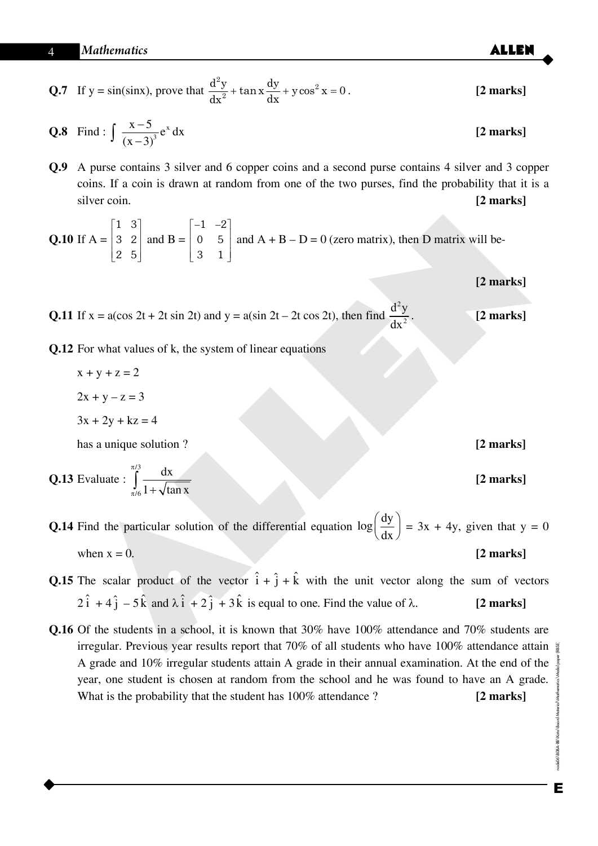**Q.7** If 
$$
y = sin(sin x)
$$
, prove that 
$$
\frac{d^2y}{dx^2} + tan x \frac{dy}{dx} + y cos^2 x = 0.
$$
 [2 marks]

**Q.8** Find: 
$$
\int \frac{x-5}{(x-3)^3} e^x dx
$$
 [2 marks]

Q.9 A purse contains 3 silver and 6 copper coins and a second purse contains 4 silver and 3 copper coins. If a coin is drawn at random from one of the two purses, find the probability that it is a silver coin. [2 marks]

**Q.10** If 
$$
A = \begin{bmatrix} 1 & 3 \\ 3 & 2 \\ 2 & 5 \end{bmatrix}
$$
 and  $B = \begin{bmatrix} -1 & -2 \\ 0 & 5 \\ 3 & 1 \end{bmatrix}$  and  $A + B - D = 0$  (zero matrix), then D matrix will be-

[2 marks]

**Q.11** If 
$$
x = a(\cos 2t + 2t \sin 2t)
$$
 and  $y = a(\sin 2t - 2t \cos 2t)$ , then find  $\frac{d^2y}{dx^2}$ . [2 marks]

**Q.12** For what values of k, the system of linear equations

- $x + y + z = 2$
- $2x + y z = 3$

$$
3x + 2y + kz = 4
$$

has a unique solution?

**Q.13** Evaluate : 
$$
\int_{\pi/6}^{\pi/3} \frac{dx}{1 + \sqrt{\tan x}}
$$

**Q.14** Find the particular solution of the differential equation  $\log \left( \frac{dy}{dx} \right) = 3x + 4y$ , given that  $y = 0$ when  $x = 0$ .  $[2$  marks]

- **Q.15** The scalar product of the vector  $\hat{i} + \hat{j} + \hat{k}$  with the unit vector along the sum of vectors  $2\hat{i} + 4\hat{j} - 5\hat{k}$  and  $\lambda \hat{i} + 2\hat{j} + 3\hat{k}$  is equal to one. Find the value of  $\lambda$ .  $[2$  marks]
- Q.16 Of the students in a school, it is known that 30% have 100% attendance and 70% students are irregular. Previous year results report that 70% of all students who have 100% attendance attain A grade and 10% irregular students attain A grade in their annual examination. At the end of the year, one student is chosen at random from the school and he was found to have an A grade. What is the probability that the student has 100% attendance?  $[2$  marks]

Е

 $[2$  marks]